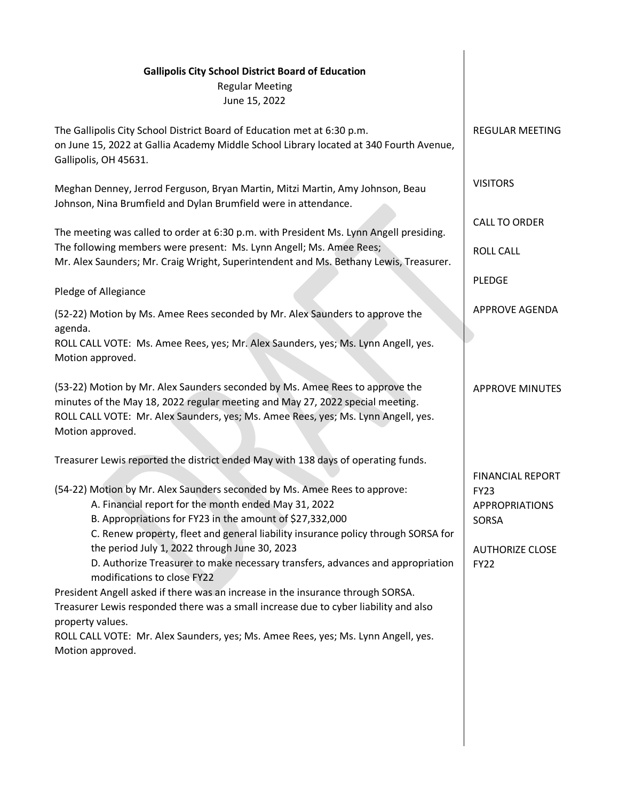| <b>Gallipolis City School District Board of Education</b><br><b>Regular Meeting</b><br>June 15, 2022                                                                                                                                                                                                                                                                                                                                                                                                                                    |                                                                                                                   |
|-----------------------------------------------------------------------------------------------------------------------------------------------------------------------------------------------------------------------------------------------------------------------------------------------------------------------------------------------------------------------------------------------------------------------------------------------------------------------------------------------------------------------------------------|-------------------------------------------------------------------------------------------------------------------|
| The Gallipolis City School District Board of Education met at 6:30 p.m.<br>on June 15, 2022 at Gallia Academy Middle School Library located at 340 Fourth Avenue,<br>Gallipolis, OH 45631.                                                                                                                                                                                                                                                                                                                                              | <b>REGULAR MEETING</b>                                                                                            |
| Meghan Denney, Jerrod Ferguson, Bryan Martin, Mitzi Martin, Amy Johnson, Beau<br>Johnson, Nina Brumfield and Dylan Brumfield were in attendance.                                                                                                                                                                                                                                                                                                                                                                                        | <b>VISITORS</b>                                                                                                   |
| The meeting was called to order at 6:30 p.m. with President Ms. Lynn Angell presiding.                                                                                                                                                                                                                                                                                                                                                                                                                                                  | <b>CALL TO ORDER</b>                                                                                              |
| The following members were present: Ms. Lynn Angell; Ms. Amee Rees;<br>Mr. Alex Saunders; Mr. Craig Wright, Superintendent and Ms. Bethany Lewis, Treasurer.                                                                                                                                                                                                                                                                                                                                                                            | <b>ROLL CALL</b>                                                                                                  |
| Pledge of Allegiance                                                                                                                                                                                                                                                                                                                                                                                                                                                                                                                    | <b>PLEDGE</b>                                                                                                     |
| (52-22) Motion by Ms. Amee Rees seconded by Mr. Alex Saunders to approve the<br>agenda.                                                                                                                                                                                                                                                                                                                                                                                                                                                 | <b>APPROVE AGENDA</b>                                                                                             |
| ROLL CALL VOTE: Ms. Amee Rees, yes; Mr. Alex Saunders, yes; Ms. Lynn Angell, yes.<br>Motion approved.                                                                                                                                                                                                                                                                                                                                                                                                                                   |                                                                                                                   |
| (53-22) Motion by Mr. Alex Saunders seconded by Ms. Amee Rees to approve the<br>minutes of the May 18, 2022 regular meeting and May 27, 2022 special meeting.<br>ROLL CALL VOTE: Mr. Alex Saunders, yes; Ms. Amee Rees, yes; Ms. Lynn Angell, yes.<br>Motion approved.                                                                                                                                                                                                                                                                  | <b>APPROVE MINUTES</b>                                                                                            |
| Treasurer Lewis reported the district ended May with 138 days of operating funds.                                                                                                                                                                                                                                                                                                                                                                                                                                                       |                                                                                                                   |
| (54-22) Motion by Mr. Alex Saunders seconded by Ms. Amee Rees to approve:<br>A. Financial report for the month ended May 31, 2022<br>B. Appropriations for FY23 in the amount of \$27,332,000<br>C. Renew property, fleet and general liability insurance policy through SORSA for<br>the period July 1, 2022 through June 30, 2023<br>D. Authorize Treasurer to make necessary transfers, advances and appropriation<br>modifications to close FY22<br>President Angell asked if there was an increase in the insurance through SORSA. | <b>FINANCIAL REPORT</b><br><b>FY23</b><br><b>APPROPRIATIONS</b><br>SORSA<br><b>AUTHORIZE CLOSE</b><br><b>FY22</b> |
| Treasurer Lewis responded there was a small increase due to cyber liability and also<br>property values.<br>ROLL CALL VOTE: Mr. Alex Saunders, yes; Ms. Amee Rees, yes; Ms. Lynn Angell, yes.<br>Motion approved.                                                                                                                                                                                                                                                                                                                       |                                                                                                                   |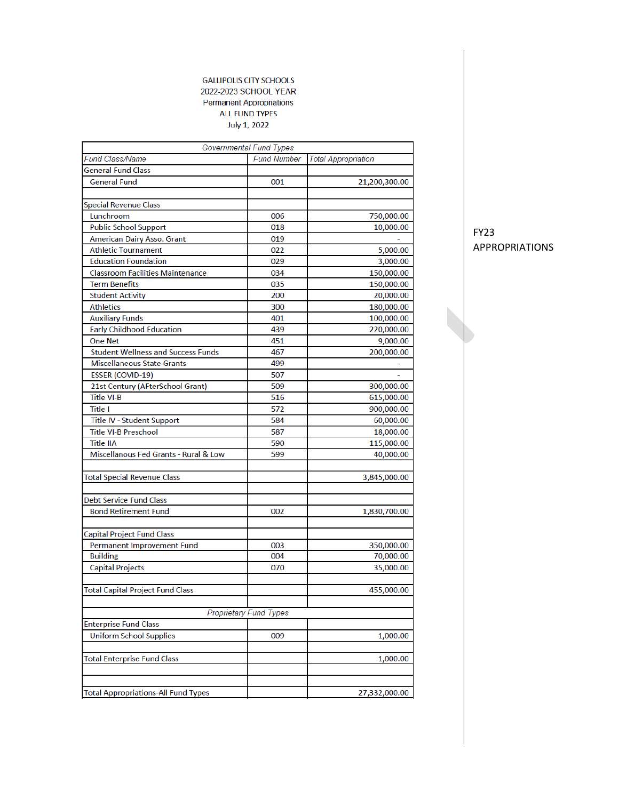## **GALLIPOLIS CITY SCHOOLS** 2022-2023 SCHOOL YEAR **Permanent Appropriations** ALL FUND TYPES July 1, 2022

|                                            | Governmental Fund Types       |                            |
|--------------------------------------------|-------------------------------|----------------------------|
| <b>Fund Class/Name</b>                     | <b>Fund Number</b>            | <b>Total Appropriation</b> |
| <b>General Fund Class</b>                  |                               |                            |
| <b>General Fund</b>                        | 001                           | 21,200,300.00              |
|                                            |                               |                            |
| <b>Special Revenue Class</b>               |                               |                            |
| Lunchroom                                  | 006                           | 750,000.00                 |
| <b>Public School Support</b>               | 018                           | 10,000.00                  |
| American Dairy Asso. Grant                 | 019                           |                            |
| <b>Athletic Tournament</b>                 | 022                           | 5,000.00                   |
| <b>Education Foundation</b>                | 029                           | 3,000.00                   |
| <b>Classroom Facilities Maintenance</b>    | 034                           | 150,000.00                 |
| <b>Term Benefits</b>                       | 035                           | 150,000.00                 |
| <b>Student Activity</b>                    | 200                           | 20,000.00                  |
| <b>Athletics</b>                           | 300                           | 180,000.00                 |
| <b>Auxiliary Funds</b>                     | 401                           | 100,000.00                 |
| <b>Early Childhood Education</b>           | 439                           | 220,000.00                 |
| <b>One Net</b>                             | 451                           | 9,000.00                   |
| <b>Student Wellness and Success Funds</b>  | 467                           | 200,000.00                 |
| <b>Miscellaneous State Grants</b>          | 499                           |                            |
| <b>ESSER (COVID-19)</b>                    | 507                           |                            |
| 21st Century (AFterSchool Grant)           | 509                           | 300,000.00                 |
| <b>Title VI-B</b>                          | 516                           | 615,000.00                 |
| Title I                                    | 572                           | 900,000.00                 |
| Title IV - Student Support                 | 584                           | 60,000.00                  |
| <b>Title VI-B Preschool</b>                | 587                           | 18,000.00                  |
| <b>Title IIA</b>                           | 590                           | 115,000.00                 |
| Miscellanous Fed Grants - Rural & Low      | 599                           | 40,000.00                  |
|                                            |                               |                            |
| <b>Total Special Revenue Class</b>         |                               | 3,845,000.00               |
| <b>Debt Service Fund Class</b>             |                               |                            |
| <b>Bond Retirement Fund</b>                | 002                           | 1,830,700.00               |
|                                            |                               |                            |
| <b>Capital Project Fund Class</b>          |                               |                            |
| Permanent Improvement Fund                 | 003                           | 350,000.00                 |
| <b>Building</b>                            | 004                           | 70,000.00                  |
| <b>Capital Projects</b>                    | 070                           | 35,000.00                  |
|                                            |                               |                            |
| <b>Total Capital Project Fund Class</b>    |                               | 455,000.00                 |
|                                            | <b>Proprietary Fund Types</b> |                            |
| <b>Enterprise Fund Class</b>               |                               |                            |
| Uniform School Supplies                    | 009                           | 1,000.00                   |
|                                            |                               |                            |
| <b>Total Enterprise Fund Class</b>         |                               | 1,000.00                   |
|                                            |                               |                            |
|                                            |                               |                            |
| <b>Total Appropriations-All Fund Types</b> |                               | 27.332.000.00              |

FY23 APPROPRIATIONS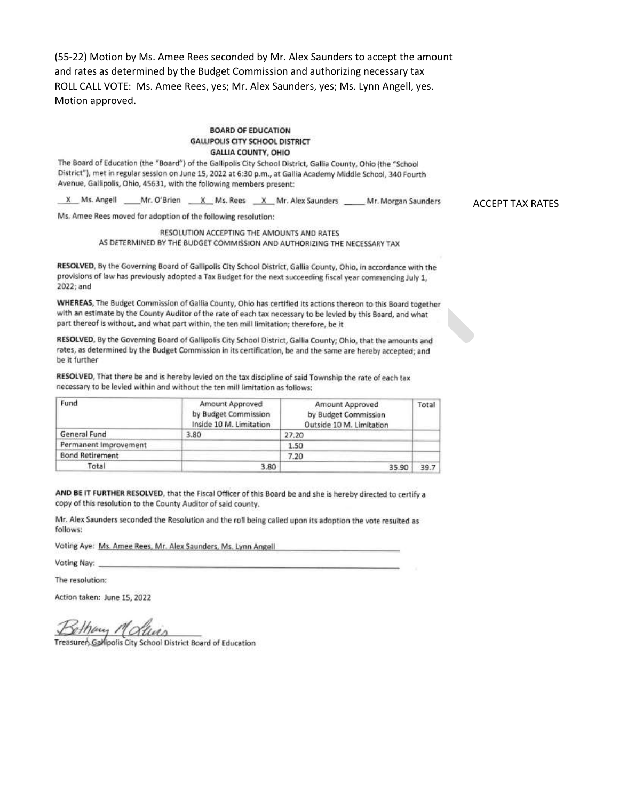(55-22) Motion by Ms. Amee Rees seconded by Mr. Alex Saunders to accept the amount and rates as determined by the Budget Commission and authorizing necessary tax ROLL CALL VOTE: Ms. Amee Rees, yes; Mr. Alex Saunders, yes; Ms. Lynn Angell, yes. Motion approved.

## **BOARD OF EDUCATION GALLIPOLIS CITY SCHOOL DISTRICT GALLIA COUNTY, OHIO**

The Board of Education (the "Board") of the Gallipolis City School District, Gallia County, Ohio (the "School District"), met in regular session on June 15, 2022 at 6:30 p.m., at Gallia Academy Middle School, 340 Fourth Avenue, Gallipolis, Ohio, 45631, with the following members present:

X Ms. Angell Mr. O'Brien X Ms. Rees X Mr. Alex Saunders Mr. Morgan Saunders

Ms. Amee Rees moved for adoption of the following resolution:

RESOLUTION ACCEPTING THE AMOUNTS AND RATES AS DETERMINED BY THE BUDGET COMMISSION AND AUTHORIZING THE NECESSARY TAX

RESOLVED, By the Governing Board of Gallipolis City School District, Gallia County, Ohio, in accordance with the provisions of law has previously adopted a Tax Budget for the next succeeding fiscal year commencing July 1. 2022; and

WHEREAS, The Budget Commission of Gallia County, Ohio has certified its actions thereon to this Board together with an estimate by the County Auditor of the rate of each tax necessary to be levied by this Board, and what part thereof is without, and what part within, the ten mill limitation; therefore, be it

RESOLVED, By the Governing Board of Gallipolis City School District, Gallia County; Ohio, that the amounts and rates, as determined by the Budget Commission in its certification, be and the same are hereby accepted; and be it further

RESOLVED, That there be and is hereby levied on the tax discipline of said Township the rate of each tax necessary to be levied within and without the ten mill limitation as follows:

| Fund                   | Amount Approved<br>by Budget Commission<br>Inside 10 M. Limitation | Amount Approved<br>by Budget Commission<br>Outside 10 M. Limitation | Total |
|------------------------|--------------------------------------------------------------------|---------------------------------------------------------------------|-------|
| General Fund           | 3.80                                                               | 27.20                                                               |       |
| Permanent Improvement  |                                                                    | 1.50                                                                |       |
| <b>Bond Retirement</b> |                                                                    | 7.20                                                                |       |
| Total                  | 3.80                                                               | 35.90                                                               | 39.7  |

AND BE IT FURTHER RESOLVED, that the Fiscal Officer of this Board be and she is hereby directed to certify a copy of this resolution to the County Auditor of said county.

Mr. Alex Saunders seconded the Resolution and the roll being called upon its adoption the vote resulted as follows:

Voting Aye: Ms. Amee Rees, Mr. Alex Saunders, Ms. Lynn Angell

Voting Nay:

The resolution:

Action taken: June 15, 2022

thay Mollins

Treasurer, Gallipolis City School District Board of Education

**ACCEPT TAX RATES**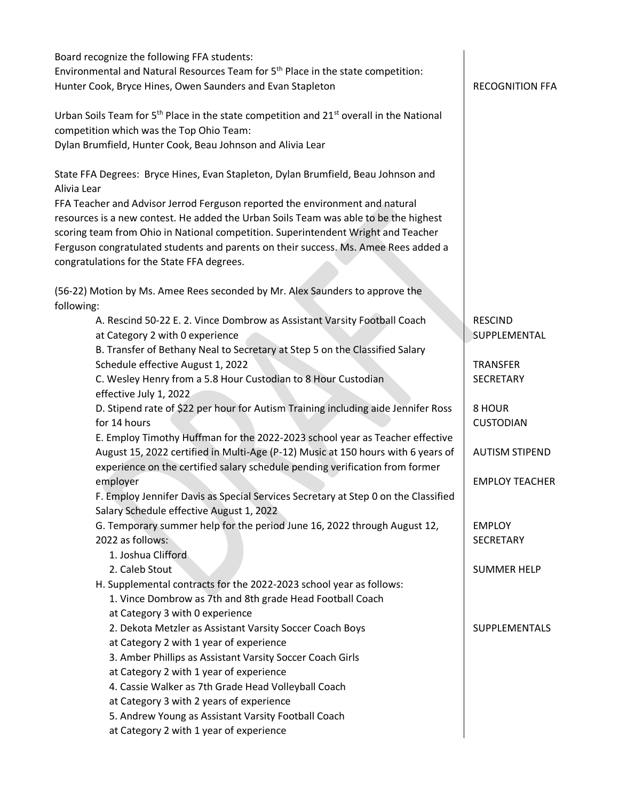| Board recognize the following FFA students:<br>Environmental and Natural Resources Team for 5 <sup>th</sup> Place in the state competition:<br>Hunter Cook, Bryce Hines, Owen Saunders and Evan Stapleton                                                                                                                                                                                                                                                                                                                                                                                                                                                                                                                                                                                                                                                                                                                                                             | <b>RECOGNITION FFA</b>                                                                                                                                                       |
|-----------------------------------------------------------------------------------------------------------------------------------------------------------------------------------------------------------------------------------------------------------------------------------------------------------------------------------------------------------------------------------------------------------------------------------------------------------------------------------------------------------------------------------------------------------------------------------------------------------------------------------------------------------------------------------------------------------------------------------------------------------------------------------------------------------------------------------------------------------------------------------------------------------------------------------------------------------------------|------------------------------------------------------------------------------------------------------------------------------------------------------------------------------|
| Urban Soils Team for 5 <sup>th</sup> Place in the state competition and 21 <sup>st</sup> overall in the National<br>competition which was the Top Ohio Team:<br>Dylan Brumfield, Hunter Cook, Beau Johnson and Alivia Lear                                                                                                                                                                                                                                                                                                                                                                                                                                                                                                                                                                                                                                                                                                                                            |                                                                                                                                                                              |
| State FFA Degrees: Bryce Hines, Evan Stapleton, Dylan Brumfield, Beau Johnson and<br>Alivia Lear                                                                                                                                                                                                                                                                                                                                                                                                                                                                                                                                                                                                                                                                                                                                                                                                                                                                      |                                                                                                                                                                              |
| FFA Teacher and Advisor Jerrod Ferguson reported the environment and natural<br>resources is a new contest. He added the Urban Soils Team was able to be the highest<br>scoring team from Ohio in National competition. Superintendent Wright and Teacher<br>Ferguson congratulated students and parents on their success. Ms. Amee Rees added a<br>congratulations for the State FFA degrees.                                                                                                                                                                                                                                                                                                                                                                                                                                                                                                                                                                        |                                                                                                                                                                              |
| (56-22) Motion by Ms. Amee Rees seconded by Mr. Alex Saunders to approve the                                                                                                                                                                                                                                                                                                                                                                                                                                                                                                                                                                                                                                                                                                                                                                                                                                                                                          |                                                                                                                                                                              |
| following:<br>A. Rescind 50-22 E. 2. Vince Dombrow as Assistant Varsity Football Coach<br>at Category 2 with 0 experience<br>B. Transfer of Bethany Neal to Secretary at Step 5 on the Classified Salary<br>Schedule effective August 1, 2022<br>C. Wesley Henry from a 5.8 Hour Custodian to 8 Hour Custodian<br>effective July 1, 2022<br>D. Stipend rate of \$22 per hour for Autism Training including aide Jennifer Ross<br>for 14 hours<br>E. Employ Timothy Huffman for the 2022-2023 school year as Teacher effective<br>August 15, 2022 certified in Multi-Age (P-12) Music at 150 hours with 6 years of<br>experience on the certified salary schedule pending verification from former<br>employer<br>F. Employ Jennifer Davis as Special Services Secretary at Step 0 on the Classified<br>Salary Schedule effective August 1, 2022<br>G. Temporary summer help for the period June 16, 2022 through August 12,<br>2022 as follows:<br>1. Joshua Clifford | <b>RESCIND</b><br>SUPPLEMENTAL<br><b>TRANSFER</b><br>SECRETARY<br>8 HOUR<br><b>CUSTODIAN</b><br><b>AUTISM STIPEND</b><br><b>EMPLOY TEACHER</b><br><b>EMPLOY</b><br>SECRETARY |
| 2. Caleb Stout<br>H. Supplemental contracts for the 2022-2023 school year as follows:<br>1. Vince Dombrow as 7th and 8th grade Head Football Coach                                                                                                                                                                                                                                                                                                                                                                                                                                                                                                                                                                                                                                                                                                                                                                                                                    | <b>SUMMER HELP</b>                                                                                                                                                           |
| at Category 3 with 0 experience<br>2. Dekota Metzler as Assistant Varsity Soccer Coach Boys<br>at Category 2 with 1 year of experience<br>3. Amber Phillips as Assistant Varsity Soccer Coach Girls<br>at Category 2 with 1 year of experience<br>4. Cassie Walker as 7th Grade Head Volleyball Coach<br>at Category 3 with 2 years of experience<br>5. Andrew Young as Assistant Varsity Football Coach<br>at Category 2 with 1 year of experience                                                                                                                                                                                                                                                                                                                                                                                                                                                                                                                   | <b>SUPPLEMENTALS</b>                                                                                                                                                         |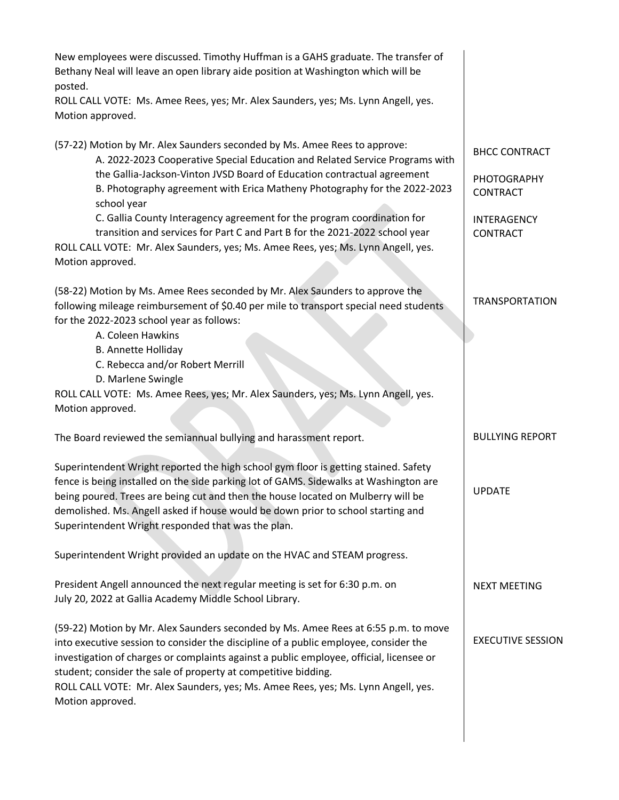| New employees were discussed. Timothy Huffman is a GAHS graduate. The transfer of<br>Bethany Neal will leave an open library aide position at Washington which will be<br>posted.                                                                                                                                                                                                                                                                |                                                               |
|--------------------------------------------------------------------------------------------------------------------------------------------------------------------------------------------------------------------------------------------------------------------------------------------------------------------------------------------------------------------------------------------------------------------------------------------------|---------------------------------------------------------------|
| ROLL CALL VOTE: Ms. Amee Rees, yes; Mr. Alex Saunders, yes; Ms. Lynn Angell, yes.<br>Motion approved.                                                                                                                                                                                                                                                                                                                                            |                                                               |
| (57-22) Motion by Mr. Alex Saunders seconded by Ms. Amee Rees to approve:<br>A. 2022-2023 Cooperative Special Education and Related Service Programs with<br>the Gallia-Jackson-Vinton JVSD Board of Education contractual agreement<br>B. Photography agreement with Erica Matheny Photography for the 2022-2023                                                                                                                                | <b>BHCC CONTRACT</b><br><b>PHOTOGRAPHY</b><br><b>CONTRACT</b> |
| school year<br>C. Gallia County Interagency agreement for the program coordination for<br>transition and services for Part C and Part B for the 2021-2022 school year<br>ROLL CALL VOTE: Mr. Alex Saunders, yes; Ms. Amee Rees, yes; Ms. Lynn Angell, yes.<br>Motion approved.                                                                                                                                                                   | INTERAGENCY<br><b>CONTRACT</b>                                |
| (58-22) Motion by Ms. Amee Rees seconded by Mr. Alex Saunders to approve the<br>following mileage reimbursement of \$0.40 per mile to transport special need students<br>for the 2022-2023 school year as follows:<br>A. Coleen Hawkins                                                                                                                                                                                                          | <b>TRANSPORTATION</b>                                         |
| <b>B. Annette Holliday</b><br>C. Rebecca and/or Robert Merrill<br>D. Marlene Swingle<br>ROLL CALL VOTE: Ms. Amee Rees, yes; Mr. Alex Saunders, yes; Ms. Lynn Angell, yes.                                                                                                                                                                                                                                                                        |                                                               |
| Motion approved.                                                                                                                                                                                                                                                                                                                                                                                                                                 |                                                               |
| The Board reviewed the semiannual bullying and harassment report.                                                                                                                                                                                                                                                                                                                                                                                | <b>BULLYING REPORT</b>                                        |
| Superintendent Wright reported the high school gym floor is getting stained. Safety<br>fence is being installed on the side parking lot of GAMS. Sidewalks at Washington are<br>being poured. Trees are being cut and then the house located on Mulberry will be<br>demolished. Ms. Angell asked if house would be down prior to school starting and<br>Superintendent Wright responded that was the plan.                                       | <b>UPDATE</b>                                                 |
| Superintendent Wright provided an update on the HVAC and STEAM progress.                                                                                                                                                                                                                                                                                                                                                                         |                                                               |
| President Angell announced the next regular meeting is set for 6:30 p.m. on<br>July 20, 2022 at Gallia Academy Middle School Library.                                                                                                                                                                                                                                                                                                            | <b>NEXT MEETING</b>                                           |
| (59-22) Motion by Mr. Alex Saunders seconded by Ms. Amee Rees at 6:55 p.m. to move<br>into executive session to consider the discipline of a public employee, consider the<br>investigation of charges or complaints against a public employee, official, licensee or<br>student; consider the sale of property at competitive bidding.<br>ROLL CALL VOTE: Mr. Alex Saunders, yes; Ms. Amee Rees, yes; Ms. Lynn Angell, yes.<br>Motion approved. | <b>EXECUTIVE SESSION</b>                                      |